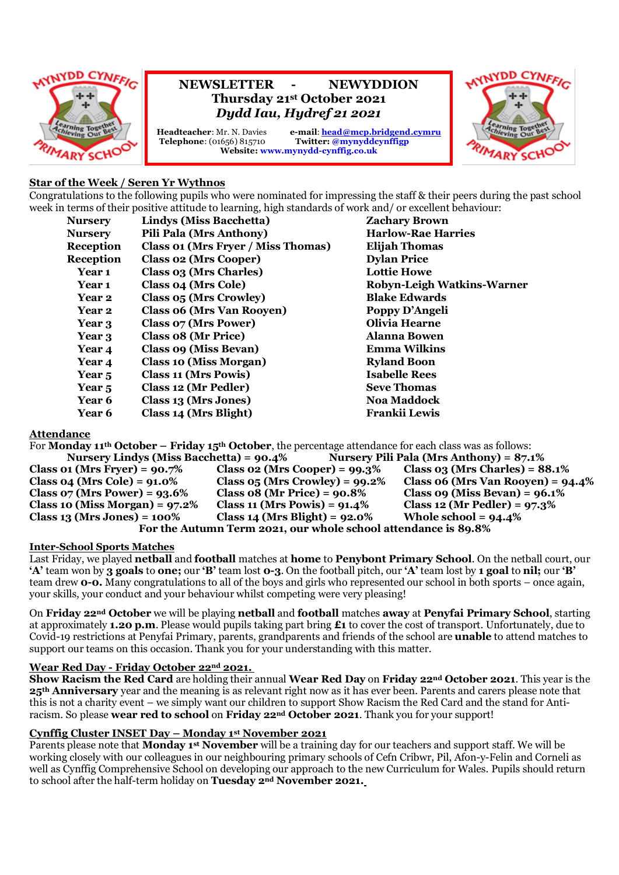

# **NEWSLETTER - NEWYDDION Thursday 21st October 2021** *Dydd Iau, Hydref 21 2021*

**Headteacher**: Mr. N. Davies e-mail: **<u>[head@mcp.bridgend.cymru](mailto:head@mcp.bridgend.cymru)</u>**<br> **Telephone**: (01656) 815710 **Twitter: @mynyddcynffigp**  $Twitter: @mynyddcynffign$ **Website: www.mynydd-cynffig.co.uk**



# **Star of the Week / Seren Yr Wythnos**

Congratulations to the following pupils who were nominated for impressing the staff & their peers during the past school week in terms of their positive attitude to learning, high standards of work and/ or excellent behaviour:

| <b>Nursery</b>    | Lindys (Miss Bacchetta)            | <b>Zachary Brown</b>       |
|-------------------|------------------------------------|----------------------------|
| <b>Nurserv</b>    | <b>Pili Pala (Mrs Anthony)</b>     | <b>Harlow-Rae Harries</b>  |
| Reception         | Class 01 (Mrs Fryer / Miss Thomas) | <b>Elijah Thomas</b>       |
| <b>Reception</b>  | <b>Class 02 (Mrs Cooper)</b>       | <b>Dylan Price</b>         |
| Year 1            | Class 03 (Mrs Charles)             | <b>Lottie Howe</b>         |
| Year 1            | <b>Class 04 (Mrs Cole)</b>         | Robyn-Leigh Watkins-Warner |
| Year 2            | Class 05 (Mrs Crowley)             | <b>Blake Edwards</b>       |
| Year 2            | <b>Class 06 (Mrs Van Rooyen)</b>   | Poppy D'Angeli             |
| Year 3            | <b>Class 07 (Mrs Power)</b>        | <b>Olivia Hearne</b>       |
| Year 3            | Class 08 (Mr Price)                | <b>Alanna Bowen</b>        |
| Year 4            | Class 09 (Miss Bevan)              | Emma Wilkins               |
| Year 4            | <b>Class 10 (Miss Morgan)</b>      | <b>Ryland Boon</b>         |
| Year <sub>5</sub> | <b>Class 11 (Mrs Powis)</b>        | <b>Isabelle Rees</b>       |
| Year <sub>5</sub> | Class 12 (Mr Pedler)               | <b>Seve Thomas</b>         |
| <b>Year 6</b>     | Class 13 (Mrs Jones)               | <b>Noa Maddock</b>         |
| <b>Year 6</b>     | Class 14 (Mrs Blight)              | Frankii Lewis              |

#### **Attendance**

For **Monday 11th October – Friday 15th October**, the percentage attendance for each class was as follows: **Nursery Lindys (Miss Bacchetta) = 90.4% Nursery Pili Pala (Mrs Anthony) = 87.1% Class 01 (Mrs Fryer) = 90.7% Class 02 (Mrs Cooper) = 99.3% Class 03 (Mrs Charles) = 88.1% Class 04 (Mrs Cole) = 91.0% Class 05 (Mrs Crowley) = 99.2% Class 06 (Mrs Van Rooyen) = 94.4% Class 07 (Mrs Power) = 93.6% Class 08 (Mr Price) = 90.8% Class 09 (Miss Bevan) = 96.1% Class 10 (Miss Morgan) = 97.2% Class 11 (Mrs Powis) = 91.4% Class 12 (Mr Pedler) = 97.3% Class 13 (Mrs Jones) = 100% Class 14 (Mrs Blight) = 92.0% Whole school = 94.4% For the Autumn Term 2021, our whole school attendance is 89.8%**

#### **Inter-School Sports Matches**

Last Friday, we played **netball** and **football** matches at **home** to **Penybont Primary School**. On the netball court, our **'A'** team won by **3 goals** to **one;** our **'B'** team lost **0-3**. On the football pitch, our **'A'** team lost by **1 goal** to **nil;** our **'B'** team drew **0-0.** Many congratulations to all of the boys and girls who represented our school in both sports – once again, your skills, your conduct and your behaviour whilst competing were very pleasing!

On **Friday 22nd October** we will be playing **netball** and **football** matches **away** at **Penyfai Primary School**, starting at approximately **1.20 p.m**. Please would pupils taking part bring **£1** to cover the cost of transport. Unfortunately, due to Covid-19 restrictions at Penyfai Primary, parents, grandparents and friends of the school are **unable** to attend matches to support our teams on this occasion. Thank you for your understanding with this matter.

## **Wear Red Day - Friday October 22nd 2021.**

**Show Racism the Red Card** are holding their annual **Wear Red Day** on **Friday 22nd October 2021**. This year is the **25th Anniversary** year and the meaning is as relevant right now as it has ever been. Parents and carers please note that this is not a charity event – we simply want our children to support Show Racism the Red Card and the stand for Antiracism. So please **wear red to school** on **Friday 22nd October 2021**. Thank you for your support!

# **Cynffig Cluster INSET Day – Monday 1st November 2021**

Parents please note that **Monday 1st November** will be a training day for our teachers and support staff. We will be working closely with our colleagues in our neighbouring primary schools of Cefn Cribwr, Pil, Afon-y-Felin and Corneli as well as Cynffig Comprehensive School on developing our approach to the new Curriculum for Wales. Pupils should return to school after the half-term holiday on **Tuesday 2nd November 2021.**